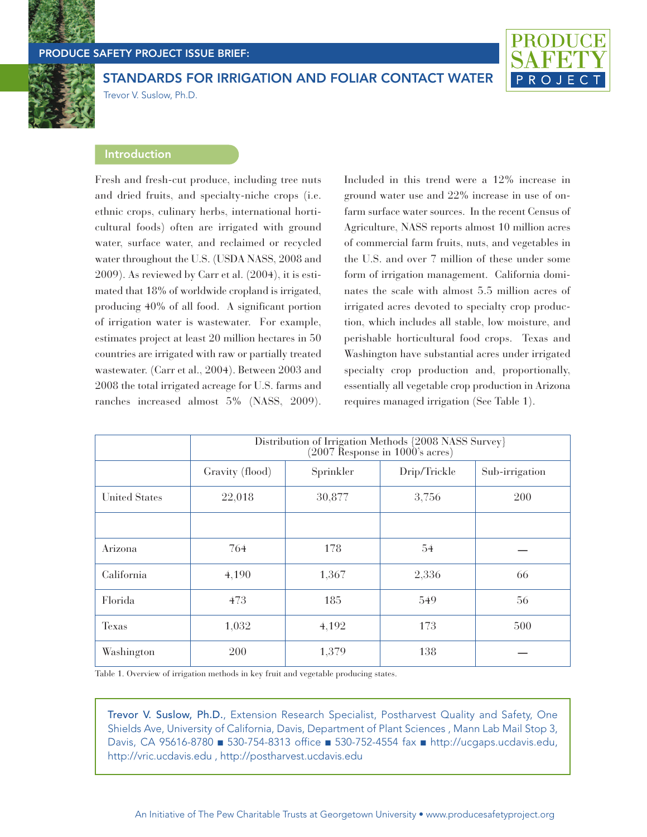

## **PRODUCE SAFETY PROJECT ISSUE BRIEF:**



**STANDARDS FOR IRRIGATION AND FOLIAR CONTACT WATER** Trevor V. Suslow, Ph.D.

### **Introduction**

Fresh and fresh-cut produce, including tree nuts and dried fruits, and specialty-niche crops (i.e. ethnic crops, culinary herbs, international horticultural foods) often are irrigated with ground water, surface water, and reclaimed or recycled water throughout the U.S. (USDA NASS, 2008 and 2009). As reviewed by Carr et al. (2004), it is estimated that 18% of worldwide cropland is irrigated, producing 40% of all food. A significant portion of irrigation water is wastewater. For example, estimates project at least 20 million hectares in 50 countries are irrigated with raw or partially treated wastewater. (Carr et al., 2004). Between 2003 and 2008 the total irrigated acreage for U.S. farms and ranches increased almost 5% (NASS, 2009).

Included in this trend were a 12% increase in ground water use and 22% increase in use of onfarm surface water sources. In the recent Census of Agriculture, NASS reports almost 10 million acres of commercial farm fruits, nuts, and vegetables in the U.S. and over 7 million of these under some form of irrigation management. California dominates the scale with almost 5.5 million acres of irrigated acres devoted to specialty crop production, which includes all stable, low moisture, and perishable horticultural food crops. Texas and Washington have substantial acres under irrigated specialty crop production and, proportionally, essentially all vegetable crop production in Arizona requires managed irrigation (See Table 1).

|                      | Distribution of Irrigation Methods {2008 NASS Survey}<br>$(2007$ Response in 1000's acres) |           |              |                |
|----------------------|--------------------------------------------------------------------------------------------|-----------|--------------|----------------|
|                      | Gravity (flood)                                                                            | Sprinkler | Drip/Trickle | Sub-irrigation |
| <b>United States</b> | 22,018                                                                                     | 30,877    | 3,756        | <b>200</b>     |
|                      |                                                                                            |           |              |                |
| Arizona              | 764                                                                                        | 178       | 54           |                |
| California           | 4,190                                                                                      | 1,367     | 2,336        | 66             |
| Florida              | 473                                                                                        | 185       | 549          | 56             |
| <b>Texas</b>         | 1,032                                                                                      | 4,192     | 173          | 500            |
| Washington           | 200                                                                                        | 1,379     | 138          |                |

Table 1. Overview of irrigation methods in key fruit and vegetable producing states.

**Trevor V. Suslow, Ph.D.**, Extension Research Specialist, Postharvest Quality and Safety, One Shields Ave, University of California, Davis, Department of Plant Sciences , Mann Lab Mail Stop 3, Davis, CA 95616-8780 **■** 530-754-8313 office **■** 530-752-4554 fax **■** http://ucgaps.ucdavis.edu, http://vric.ucdavis.edu , http://postharvest.ucdavis.edu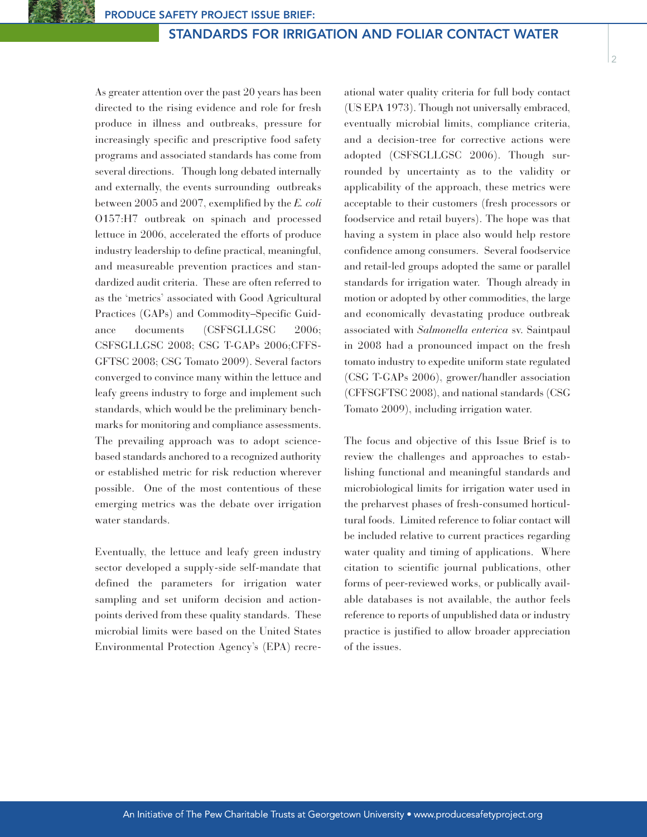As greater attention over the past 20 years has been directed to the rising evidence and role for fresh produce in illness and outbreaks, pressure for increasingly specific and prescriptive food safety programs and associated standards has come from several directions. Though long debated internally and externally, the events surrounding outbreaks between 2005 and 2007, exemplified by the *E. coli* O157:H7 outbreak on spinach and processed lettuce in 2006, accelerated the efforts of produce industry leadership to define practical, meaningful, and measureable prevention practices and standardized audit criteria. These are often referred to as the 'metrics' associated with Good Agricultural Practices (GAPs) and Commodity–Specific Guidance documents (CSFSGLLGSC 2006; CSFSGLLGSC 2008; CSG T-GAPs 2006;CFFS-GFTSC 2008; CSG Tomato 2009). Several factors converged to convince many within the lettuce and leafy greens industry to forge and implement such standards, which would be the preliminary benchmarks for monitoring and compliance assessments. The prevailing approach was to adopt sciencebased standards anchored to a recognized authority or established metric for risk reduction wherever possible. One of the most contentious of these emerging metrics was the debate over irrigation water standards.

Eventually, the lettuce and leafy green industry sector developed a supply-side self-mandate that defined the parameters for irrigation water sampling and set uniform decision and actionpoints derived from these quality standards. These microbial limits were based on the United States Environmental Protection Agency's (EPA) recre-

ational water quality criteria for full body contact (US EPA 1973). Though not universally embraced, eventually microbial limits, compliance criteria, and a decision-tree for corrective actions were adopted (CSFSGLLGSC 2006). Though surrounded by uncertainty as to the validity or applicability of the approach, these metrics were acceptable to their customers (fresh processors or foodservice and retail buyers). The hope was that having a system in place also would help restore confidence among consumers. Several foodservice and retail-led groups adopted the same or parallel standards for irrigation water. Though already in motion or adopted by other commodities, the large and economically devastating produce outbreak associated with *Salmonella enterica* sv. Saintpaul in 2008 had a pronounced impact on the fresh tomato industry to expedite uniform state regulated (CSG T-GAPs 2006), grower/handler association (CFFSGFTSC 2008), and national standards (CSG Tomato 2009), including irrigation water.

2

The focus and objective of this Issue Brief is to review the challenges and approaches to establishing functional and meaningful standards and microbiological limits for irrigation water used in the preharvest phases of fresh-consumed horticultural foods. Limited reference to foliar contact will be included relative to current practices regarding water quality and timing of applications. Where citation to scientific journal publications, other forms of peer-reviewed works, or publically available databases is not available, the author feels reference to reports of unpublished data or industry practice is justified to allow broader appreciation of the issues.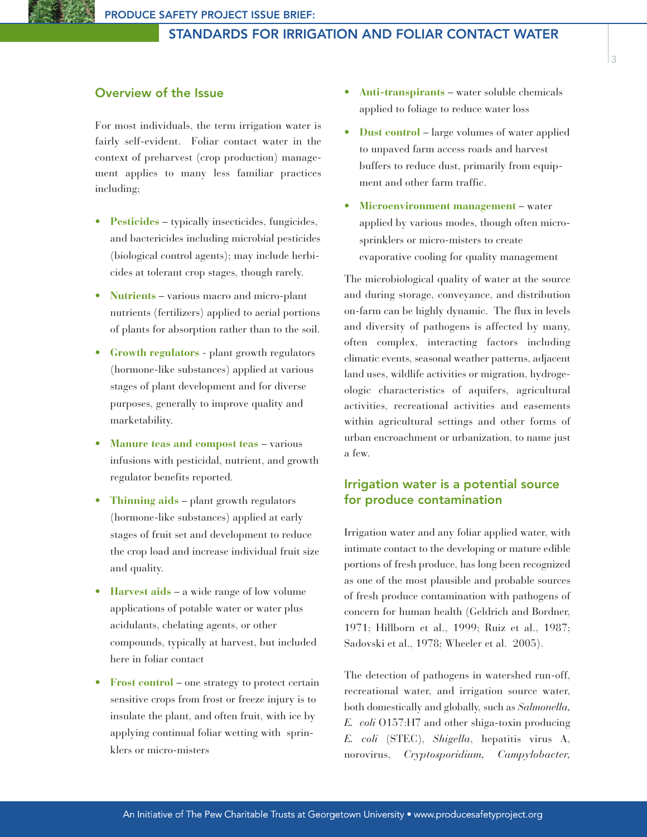# **Overview of the Issue**

For most individuals, the term irrigation water is fairly self-evident. Foliar contact water in the context of preharvest (crop production) management applies to many less familiar practices including;

- **Pesticides** typically insecticides, fungicides, and bactericides including microbial pesticides (biological control agents); may include herbicides at tolerant crop stages, though rarely.
- **Nutrients** various macro and micro-plant nutrients (fertilizers) applied to aerial portions of plants for absorption rather than to the soil.
- **Growth regulators** plant growth regulators (hormone-like substances) applied at various stages of plant development and for diverse purposes, generally to improve quality and marketability.
- **Manure teas and compost teas** various infusions with pesticidal, nutrient, and growth regulator benefits reported.
- **Thinning aids** plant growth regulators (hormone-like substances) applied at early stages of fruit set and development to reduce the crop load and increase individual fruit size and quality.
- **Harvest aids** a wide range of low volume applications of potable water or water plus acidulants, chelating agents, or other compounds, typically at harvest, but included here in foliar contact
- **Frost control** one strategy to protect certain sensitive crops from frost or freeze injury is to insulate the plant, and often fruit, with ice by applying continual foliar wetting with sprinklers or micro-misters
- **Anti-transpirants** water soluble chemicals applied to foliage to reduce water loss
- **Dust control** large volumes of water applied to unpaved farm access roads and harvest buffers to reduce dust, primarily from equipment and other farm traffic.
- **Microenvironment management** water applied by various modes, though often microsprinklers or micro-misters to create evaporative cooling for quality management

The microbiological quality of water at the source and during storage, conveyance, and distribution on-farm can be highly dynamic. The flux in levels and diversity of pathogens is affected by many, often complex, interacting factors including climatic events, seasonal weather patterns, adjacent land uses, wildlife activities or migration, hydrogeologic characteristics of aquifers, agricultural activities, recreational activities and easements within agricultural settings and other forms of urban encroachment or urbanization, to name just a few.

# **Irrigation water is a potential source for produce contamination**

Irrigation water and any foliar applied water, with intimate contact to the developing or mature edible portions of fresh produce, has long been recognized as one of the most plausible and probable sources of fresh produce contamination with pathogens of concern for human health (Geldrich and Bordner, 1971; Hillborn et al., 1999; Ruiz et al., 1987; Sadovski et al., 1978; Wheeler et al. 2005).

The detection of pathogens in watershed run-off, recreational water, and irrigation source water, both domestically and globally, such as *Salmonella, E. coli* O157:H7 and other shiga-toxin producing *E. coli* (STEC), *Shigella*, hepatitis virus A, norovirus, *Cryptosporidium, Campylobacter,*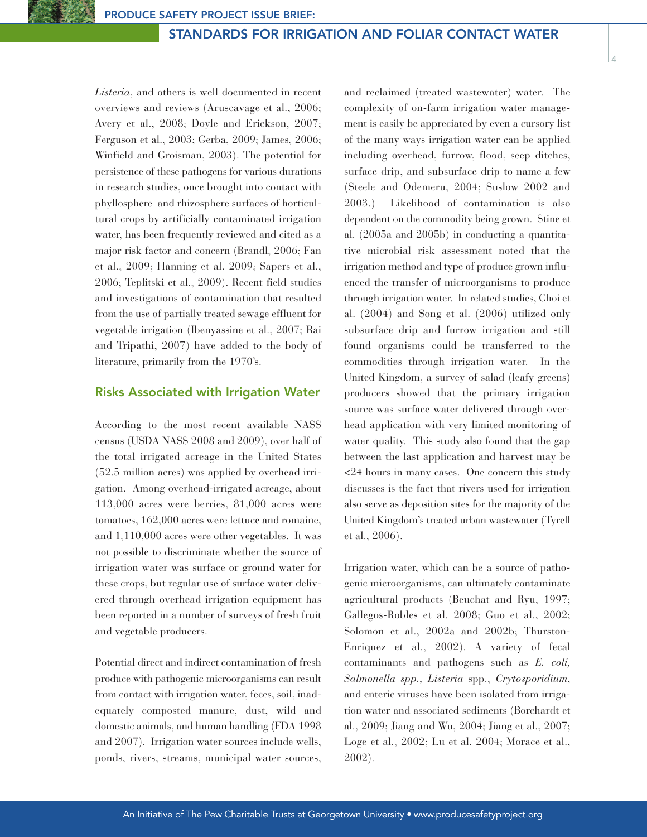*Listeria*, and others is well documented in recent overviews and reviews (Aruscavage et al., 2006; Avery et al., 2008; Doyle and Erickson, 2007; Ferguson et al., 2003; Gerba, 2009; James, 2006; Winfield and Groisman, 2003). The potential for persistence of these pathogens for various durations in research studies, once brought into contact with phyllosphere and rhizosphere surfaces of horticultural crops by artificially contaminated irrigation water, has been frequently reviewed and cited as a major risk factor and concern (Brandl, 2006; Fan et al., 2009; Hanning et al. 2009; Sapers et al., 2006; Teplitski et al., 2009). Recent field studies and investigations of contamination that resulted from the use of partially treated sewage effluent for vegetable irrigation (Ibenyassine et al., 2007; Rai and Tripathi, 2007) have added to the body of literature, primarily from the 1970's.

# **Risks Associated with Irrigation Water**

According to the most recent available NASS census (USDA NASS 2008 and 2009), over half of the total irrigated acreage in the United States (52.5 million acres) was applied by overhead irrigation. Among overhead-irrigated acreage, about 113,000 acres were berries, 81,000 acres were tomatoes, 162,000 acres were lettuce and romaine, and 1,110,000 acres were other vegetables. It was not possible to discriminate whether the source of irrigation water was surface or ground water for these crops, but regular use of surface water delivered through overhead irrigation equipment has been reported in a number of surveys of fresh fruit and vegetable producers.

Potential direct and indirect contamination of fresh produce with pathogenic microorganisms can result from contact with irrigation water, feces, soil, inadequately composted manure, dust, wild and domestic animals, and human handling (FDA 1998 and 2007). Irrigation water sources include wells, ponds, rivers, streams, municipal water sources,

and reclaimed (treated wastewater) water. The complexity of on-farm irrigation water management is easily be appreciated by even a cursory list of the many ways irrigation water can be applied including overhead, furrow, flood, seep ditches, surface drip, and subsurface drip to name a few (Steele and Odemeru, 2004; Suslow 2002 and 2003.) Likelihood of contamination is also dependent on the commodity being grown. Stine et al. (2005a and 2005b) in conducting a quantitative microbial risk assessment noted that the irrigation method and type of produce grown influenced the transfer of microorganisms to produce through irrigation water. In related studies, Choi et al. (2004) and Song et al. (2006) utilized only subsurface drip and furrow irrigation and still found organisms could be transferred to the commodities through irrigation water. In the United Kingdom, a survey of salad (leafy greens) producers showed that the primary irrigation source was surface water delivered through overhead application with very limited monitoring of water quality. This study also found that the gap between the last application and harvest may be <24 hours in many cases. One concern this study discusses is the fact that rivers used for irrigation also serve as deposition sites for the majority of the United Kingdom's treated urban wastewater (Tyrell et al., 2006).

 $\overline{A}$ 

Irrigation water, which can be a source of pathogenic microorganisms, can ultimately contaminate agricultural products (Beuchat and Ryu, 1997; Gallegos-Robles et al. 2008; Guo et al., 2002; Solomon et al., 2002a and 2002b; Thurston-Enriquez et al., 2002). A variety of fecal contaminants and pathogens such as *E. coli, Salmonella spp., Listeria* spp., *Crytosporidium*, and enteric viruses have been isolated from irrigation water and associated sediments (Borchardt et al., 2009; Jiang and Wu, 2004; Jiang et al., 2007; Loge et al., 2002; Lu et al. 2004; Morace et al., 2002).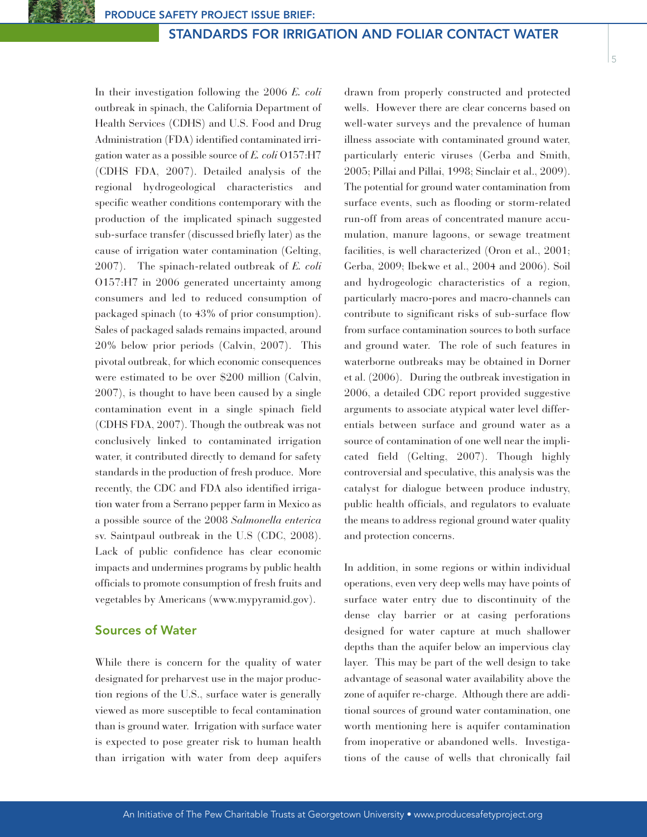5

In their investigation following the 2006 *E. coli* outbreak in spinach, the California Department of Health Services (CDHS) and U.S. Food and Drug Administration (FDA) identified contaminated irrigation water as a possible source of *E. coli* O157:H7 (CDHS FDA, 2007). Detailed analysis of the regional hydrogeological characteristics and specific weather conditions contemporary with the production of the implicated spinach suggested sub-surface transfer (discussed briefly later) as the cause of irrigation water contamination (Gelting, 2007). The spinach-related outbreak of *E. coli* O157:H7 in 2006 generated uncertainty among consumers and led to reduced consumption of packaged spinach (to 43% of prior consumption). Sales of packaged salads remains impacted, around 20% below prior periods (Calvin, 2007). This pivotal outbreak, for which economic consequences were estimated to be over \$200 million (Calvin, 2007), is thought to have been caused by a single contamination event in a single spinach field (CDHS FDA, 2007). Though the outbreak was not conclusively linked to contaminated irrigation water, it contributed directly to demand for safety standards in the production of fresh produce. More recently, the CDC and FDA also identified irrigation water from a Serrano pepper farm in Mexico as a possible source of the 2008 *Salmonella enterica* sv. Saintpaul outbreak in the U.S (CDC, 2008). Lack of public confidence has clear economic impacts and undermines programs by public health officials to promote consumption of fresh fruits and vegetables by Americans (www.mypyramid.gov).

## **Sources of Water**

While there is concern for the quality of water designated for preharvest use in the major production regions of the U.S., surface water is generally viewed as more susceptible to fecal contamination than is ground water. Irrigation with surface water is expected to pose greater risk to human health than irrigation with water from deep aquifers

drawn from properly constructed and protected wells. However there are clear concerns based on well-water surveys and the prevalence of human illness associate with contaminated ground water, particularly enteric viruses (Gerba and Smith, 2005; Pillai and Pillai, 1998; Sinclair et al., 2009). The potential for ground water contamination from surface events, such as flooding or storm-related run-off from areas of concentrated manure accumulation, manure lagoons, or sewage treatment facilities, is well characterized (Oron et al., 2001; Gerba, 2009; Ibekwe et al., 2004 and 2006). Soil and hydrogeologic characteristics of a region, particularly macro-pores and macro-channels can contribute to significant risks of sub-surface flow from surface contamination sources to both surface and ground water. The role of such features in waterborne outbreaks may be obtained in Dorner et al. (2006). During the outbreak investigation in 2006, a detailed CDC report provided suggestive arguments to associate atypical water level differentials between surface and ground water as a source of contamination of one well near the implicated field (Gelting, 2007). Though highly controversial and speculative, this analysis was the catalyst for dialogue between produce industry, public health officials, and regulators to evaluate the means to address regional ground water quality and protection concerns.

In addition, in some regions or within individual operations, even very deep wells may have points of surface water entry due to discontinuity of the dense clay barrier or at casing perforations designed for water capture at much shallower depths than the aquifer below an impervious clay layer. This may be part of the well design to take advantage of seasonal water availability above the zone of aquifer re-charge. Although there are additional sources of ground water contamination, one worth mentioning here is aquifer contamination from inoperative or abandoned wells. Investigations of the cause of wells that chronically fail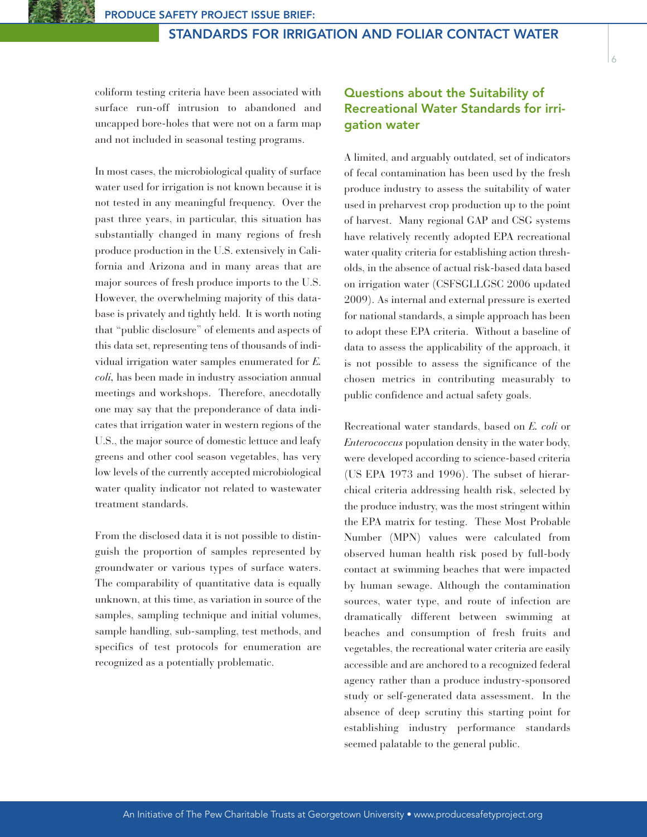coliform testing criteria have been associated with surface run-off intrusion to abandoned and uncapped bore-holes that were not on a farm map and not included in seasonal testing programs.

In most cases, the microbiological quality of surface water used for irrigation is not known because it is not tested in any meaningful frequency. Over the past three years, in particular, this situation has substantially changed in many regions of fresh produce production in the U.S. extensively in California and Arizona and in many areas that are major sources of fresh produce imports to the U.S. However, the overwhelming majority of this database is privately and tightly held. It is worth noting that "public disclosure" of elements and aspects of this data set, representing tens of thousands of individual irrigation water samples enumerated for *E. coli,* has been made in industry association annual meetings and workshops. Therefore, anecdotally one may say that the preponderance of data indicates that irrigation water in western regions of the U.S., the major source of domestic lettuce and leafy greens and other cool season vegetables, has very low levels of the currently accepted microbiological water quality indicator not related to wastewater treatment standards.

From the disclosed data it is not possible to distinguish the proportion of samples represented by groundwater or various types of surface waters. The comparability of quantitative data is equally unknown, at this time, as variation in source of the samples, sampling technique and initial volumes, sample handling, sub-sampling, test methods, and specifics of test protocols for enumeration are recognized as a potentially problematic.

# **Questions about the Suitability of Recreational Water Standards for irrigation water**

A limited, and arguably outdated, set of indicators of fecal contamination has been used by the fresh produce industry to assess the suitability of water used in preharvest crop production up to the point of harvest. Many regional GAP and CSG systems have relatively recently adopted EPA recreational water quality criteria for establishing action thresholds, in the absence of actual risk-based data based on irrigation water (CSFSGLLGSC 2006 updated 2009). As internal and external pressure is exerted for national standards, a simple approach has been to adopt these EPA criteria. Without a baseline of data to assess the applicability of the approach, it is not possible to assess the significance of the chosen metrics in contributing measurably to public confidence and actual safety goals.

Recreational water standards, based on *E. coli* or *Enterococcus* population density in the water body, were developed according to science-based criteria (US EPA 1973 and 1996). The subset of hierarchical criteria addressing health risk, selected by the produce industry, was the most stringent within the EPA matrix for testing. These Most Probable Number (MPN) values were calculated from observed human health risk posed by full-body contact at swimming beaches that were impacted by human sewage. Although the contamination sources, water type, and route of infection are dramatically different between swimming at beaches and consumption of fresh fruits and vegetables, the recreational water criteria are easily accessible and are anchored to a recognized federal agency rather than a produce industry-sponsored study or self-generated data assessment. In the absence of deep scrutiny this starting point for establishing industry performance standards seemed palatable to the general public.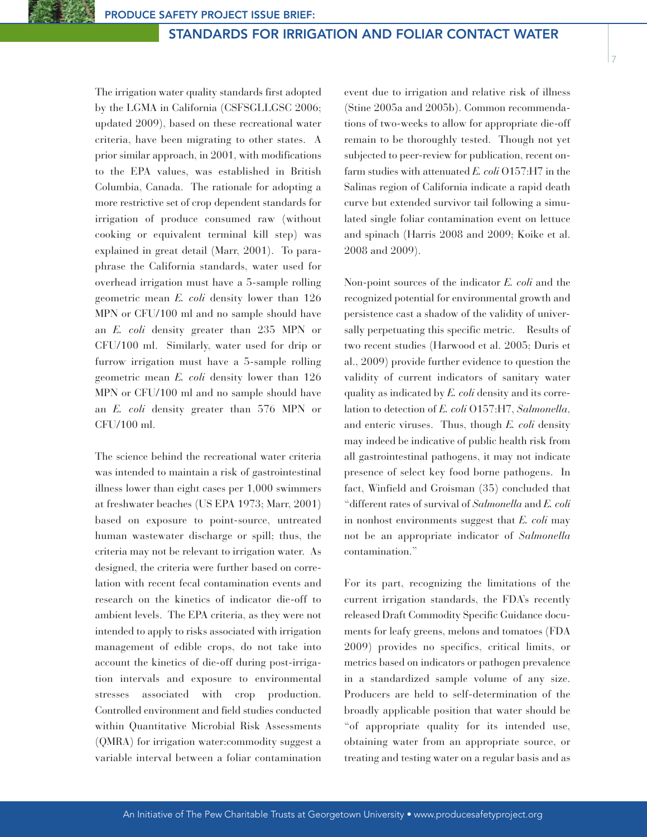The irrigation water quality standards first adopted by the LGMA in California (CSFSGLLGSC 2006; updated 2009), based on these recreational water criteria, have been migrating to other states. A prior similar approach, in 2001, with modifications to the EPA values, was established in British Columbia, Canada. The rationale for adopting a more restrictive set of crop dependent standards for irrigation of produce consumed raw (without cooking or equivalent terminal kill step) was explained in great detail (Marr, 2001). To paraphrase the California standards, water used for overhead irrigation must have a 5-sample rolling geometric mean *E. coli* density lower than 126 MPN or CFU/100 ml and no sample should have an *E. coli* density greater than 235 MPN or CFU/100 ml. Similarly, water used for drip or furrow irrigation must have a 5-sample rolling geometric mean *E. coli* density lower than 126 MPN or CFU/100 ml and no sample should have an *E. coli* density greater than 576 MPN or CFU/100 ml.

The science behind the recreational water criteria was intended to maintain a risk of gastrointestinal illness lower than eight cases per 1,000 swimmers at freshwater beaches (US EPA 1973; Marr, 2001) based on exposure to point-source, untreated human wastewater discharge or spill; thus, the criteria may not be relevant to irrigation water. As designed, the criteria were further based on correlation with recent fecal contamination events and research on the kinetics of indicator die-off to ambient levels. The EPA criteria, as they were not intended to apply to risks associated with irrigation management of edible crops, do not take into account the kinetics of die-off during post-irrigation intervals and exposure to environmental stresses associated with crop production. Controlled environment and field studies conducted within Quantitative Microbial Risk Assessments (QMRA) for irrigation water:commodity suggest a variable interval between a foliar contamination

event due to irrigation and relative risk of illness (Stine 2005a and 2005b). Common recommendations of two-weeks to allow for appropriate die-off remain to be thoroughly tested. Though not yet subjected to peer-review for publication, recent onfarm studies with attenuated *E. coli* O157:H7 in the Salinas region of California indicate a rapid death curve but extended survivor tail following a simulated single foliar contamination event on lettuce and spinach (Harris 2008 and 2009; Koike et al. 2008 and 2009).

Non-point sources of the indicator *E. coli* and the recognized potential for environmental growth and persistence cast a shadow of the validity of universally perpetuating this specific metric. Results of two recent studies (Harwood et al. 2005; Duris et al., 2009) provide further evidence to question the validity of current indicators of sanitary water quality as indicated by *E. coli* density and its correlation to detection of *E. coli* O157:H7, *Salmonella*, and enteric viruses. Thus, though *E. coli* density may indeed be indicative of public health risk from all gastrointestinal pathogens, it may not indicate presence of select key food borne pathogens. In fact, Winfield and Groisman (35) concluded that "different rates of survival of *Salmonella* and *E. coli* in nonhost environments suggest that *E. coli* may not be an appropriate indicator of *Salmonella* contamination."

For its part, recognizing the limitations of the current irrigation standards, the FDA's recently released Draft Commodity Specific Guidance documents for leafy greens, melons and tomatoes (FDA 2009) provides no specifics, critical limits, or metrics based on indicators or pathogen prevalence in a standardized sample volume of any size. Producers are held to self-determination of the broadly applicable position that water should be "of appropriate quality for its intended use, obtaining water from an appropriate source, or treating and testing water on a regular basis and as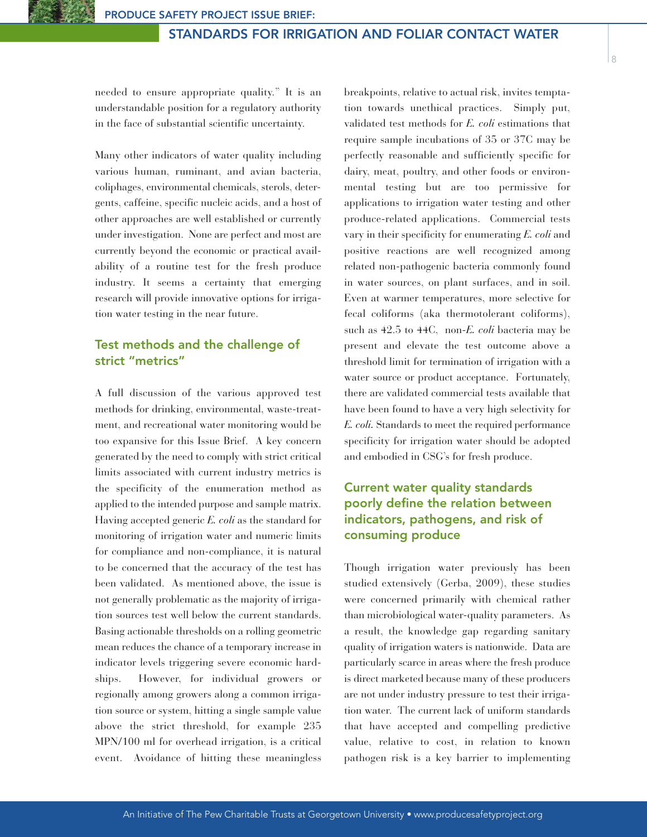needed to ensure appropriate quality." It is an understandable position for a regulatory authority in the face of substantial scientific uncertainty.

Many other indicators of water quality including various human, ruminant, and avian bacteria, coliphages, environmental chemicals, sterols, detergents, caffeine, specific nucleic acids, and a host of other approaches are well established or currently under investigation. None are perfect and most are currently beyond the economic or practical availability of a routine test for the fresh produce industry. It seems a certainty that emerging research will provide innovative options for irrigation water testing in the near future.

# **Test methods and the challenge of strict "metrics"**

A full discussion of the various approved test methods for drinking, environmental, waste-treatment, and recreational water monitoring would be too expansive for this Issue Brief. A key concern generated by the need to comply with strict critical limits associated with current industry metrics is the specificity of the enumeration method as applied to the intended purpose and sample matrix. Having accepted generic *E. coli* as the standard for monitoring of irrigation water and numeric limits for compliance and non-compliance, it is natural to be concerned that the accuracy of the test has been validated. As mentioned above, the issue is not generally problematic as the majority of irrigation sources test well below the current standards. Basing actionable thresholds on a rolling geometric mean reduces the chance of a temporary increase in indicator levels triggering severe economic hardships. However, for individual growers or regionally among growers along a common irrigation source or system, hitting a single sample value above the strict threshold, for example 235 MPN/100 ml for overhead irrigation, is a critical event. Avoidance of hitting these meaningless

breakpoints, relative to actual risk, invites temptation towards unethical practices. Simply put, validated test methods for *E. coli* estimations that require sample incubations of 35 or 37C may be perfectly reasonable and sufficiently specific for dairy, meat, poultry, and other foods or environmental testing but are too permissive for applications to irrigation water testing and other produce-related applications. Commercial tests vary in their specificity for enumerating *E. coli* and positive reactions are well recognized among related non-pathogenic bacteria commonly found in water sources, on plant surfaces, and in soil. Even at warmer temperatures, more selective for fecal coliforms (aka thermotolerant coliforms), such as 42.5 to 44C, non-*E. coli* bacteria may be present and elevate the test outcome above a threshold limit for termination of irrigation with a water source or product acceptance. Fortunately, there are validated commercial tests available that have been found to have a very high selectivity for *E. coli.* Standards to meet the required performance specificity for irrigation water should be adopted and embodied in CSG's for fresh produce.

# **Current water quality standards poorly define the relation between indicators, pathogens, and risk of consuming produce**

Though irrigation water previously has been studied extensively (Gerba, 2009), these studies were concerned primarily with chemical rather than microbiological water-quality parameters. As a result, the knowledge gap regarding sanitary quality of irrigation waters is nationwide. Data are particularly scarce in areas where the fresh produce is direct marketed because many of these producers are not under industry pressure to test their irrigation water. The current lack of uniform standards that have accepted and compelling predictive value, relative to cost, in relation to known pathogen risk is a key barrier to implementing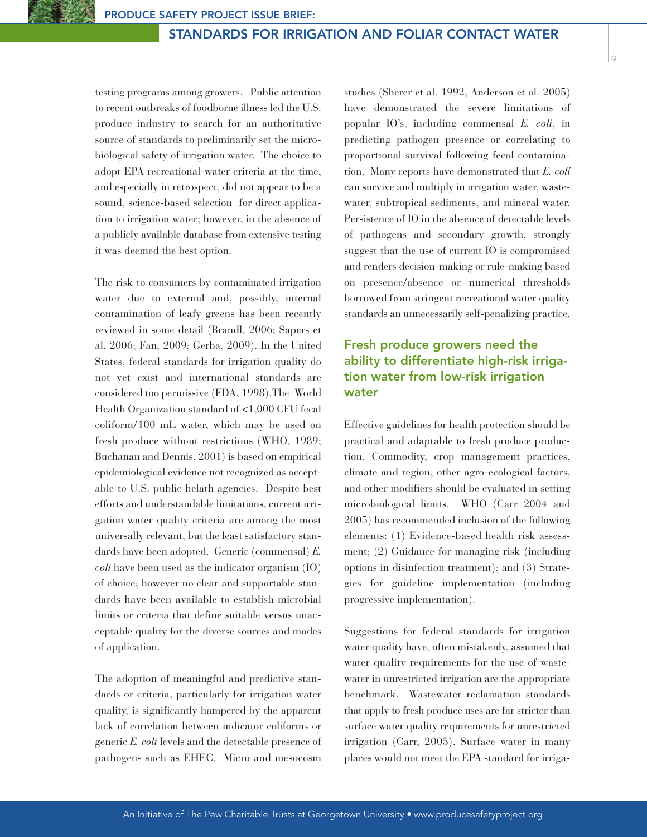testing programs among growers. Public attention to recent outbreaks of foodborne illness led the U.S. produce industry to search for an authoritative source of standards to preliminarily set the microbiological safety of irrigation water. The choice to adopt EPA recreational-water criteria at the time, and especially in retrospect, did not appear to be a sound, science-based selection for direct application to irrigation water; however, in the absence of a publicly available database from extensive testing it was deemed the best option.

The risk to consumers by contaminated irrigation water due to external and, possibly, internal contamination of leafy greens has been recently reviewed in some detail (Brandl, 2006; Sapers et al. 2006; Fan, 2009; Gerba, 2009). In the United States, federal standards for irrigation quality do not yet exist and international standards are considered too permissive (FDA, 1998).The World Health Organization standard of <1,000 CFU fecal coliform/100 mL water, which may be used on fresh produce without restrictions (WHO, 1989; Buchanan and Dennis. 2001) is based on empirical epidemiological evidence not recognized as acceptable to U.S. public helath agencies. Despite best efforts and understandable limitations, current irrigation water quality criteria are among the most universally relevant, but the least satisfactory standards have been adopted. Generic (commensal) *E. coli* have been used as the indicator organism (IO) of choice; however no clear and supportable standards have been available to establish microbial limits or criteria that define suitable versus unacceptable quality for the diverse sources and modes of application.

The adoption of meaningful and predictive standards or criteria, particularly for irrigation water quality, is significantly hampered by the apparent lack of correlation between indicator coliforms or generic *E. coli* levels and the detectable presence of pathogens such as EHEC. Micro and mesocosm

studies (Sherer et al. 1992; Anderson et al. 2005) have demonstrated the severe limitations of popular IO's, including commensal *E. coli*, in predicting pathogen presence or correlating to proportional survival following fecal contamination. Many reports have demonstrated that *E. coli* can survive and multiply in irrigation water, wastewater, subtropical sediments, and mineral water. Persistence of IO in the absence of detectable levels of pathogens and secondary growth, strongly suggest that the use of current IO is compromised and renders decision-making or rule-making based on presence/absence or numerical thresholds borrowed from stringent recreational water quality standards an unnecessarily self-penalizing practice.

# **Fresh produce growers need the ability to differentiate high-risk irrigation water from low-risk irrigation water**

Effective guidelines for health protection should be practical and adaptable to fresh produce production. Commodity, crop management practices, climate and region, other agro-ecological factors, and other modifiers should be evaluated in setting microbiological limits. WHO (Carr 2004 and 2005) has recommended inclusion of the following elements: (1) Evidence-based health risk assessment; (2) Guidance for managing risk (including options in disinfection treatment); and (3) Strategies for guideline implementation (including progressive implementation).

Suggestions for federal standards for irrigation water quality have, often mistakenly, assumed that water quality requirements for the use of wastewater in unrestricted irrigation are the appropriate benchmark. Wastewater reclamation standards that apply to fresh produce uses are far stricter than surface water quality requirements for unrestricted irrigation (Carr, 2005). Surface water in many places would not meet the EPA standard for irriga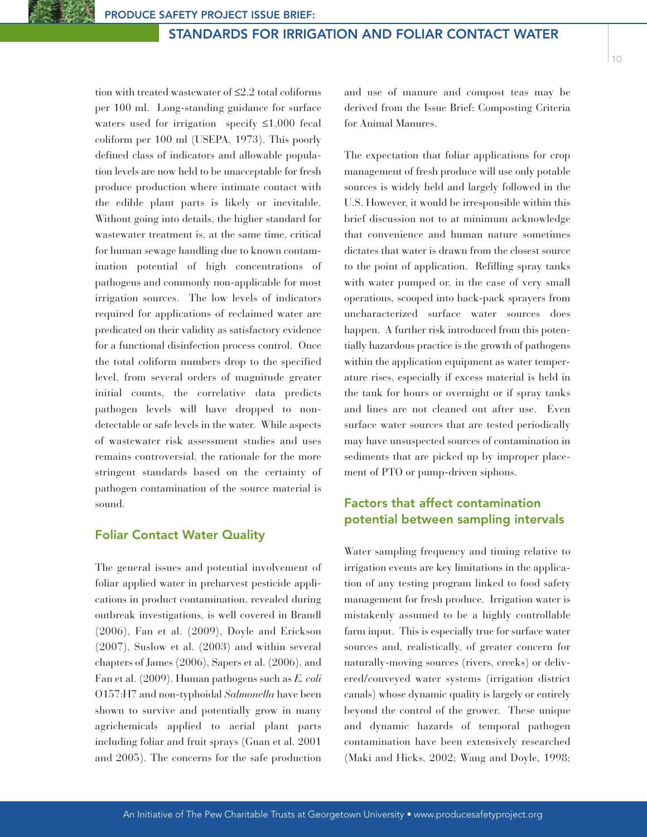tion with treated wastewater of ≤2.2 total coliforms per 100 ml. Long-standing guidance for surface waters used for irrigation specify ≤1,000 fecal coliform per 100 ml (USEPA, 1973). This poorly defined class of indicators and allowable population levels are now held to be unacceptable for fresh produce production where intimate contact with the edible plant parts is likely or inevitable. Without going into details, the higher standard for wastewater treatment is, at the same time, critical for human sewage handling due to known contamination potential of high concentrations of pathogens and commonly non-applicable for most irrigation sources. The low levels of indicators required for applications of reclaimed water are predicated on their validity as satisfactory evidence for a functional disinfection process control. Once the total coliform numbers drop to the specified level, from several orders of magnitude greater initial counts, the correlative data predicts pathogen levels will have dropped to nondetectable or safe levels in the water. While aspects of wastewater risk assessment studies and uses remains controversial, the rationale for the more stringent standards based on the certainty of pathogen contamination of the source material is sound.

## **Foliar Contact Water Quality**

The general issues and potential involvement of foliar applied water in preharvest pesticide applications in product contamination, revealed during outbreak investigations, is well covered in Brandl (2006), Fan et al. (2009), Doyle and Erickson (2007), Suslow et al. (2003) and within several chapters of James (2006), Sapers et al. (2006), and Fan et al. (2009). Human pathogens such as *E. coli* O157:H7 and non-typhoidal *Salmonella* have been shown to survive and potentially grow in many agrichemicals applied to aerial plant parts including foliar and fruit sprays (Guan et al. 2001 and 2005). The concerns for the safe production

and use of manure and compost teas may be derived from the Issue Brief: Composting Criteria for Animal Manures.

The expectation that foliar applications for crop management of fresh produce will use only potable sources is widely held and largely followed in the U.S. However, it would be irresponsible within this brief discussion not to at minimum acknowledge that convenience and human nature sometimes dictates that water is drawn from the closest source to the point of application. Refilling spray tanks with water pumped or, in the case of very small operations, scooped into back-pack sprayers from uncharacterized surface water sources does happen. A further risk introduced from this potentially hazardous practice is the growth of pathogens within the application equipment as water temperature rises, especially if excess material is held in the tank for hours or overnight or if spray tanks and lines are not cleaned out after use. Even surface water sources that are tested periodically may have unsuspected sources of contamination in sediments that are picked up by improper placement of PTO or pump-driven siphons.

# **Factors that affect contamination potential between sampling intervals**

Water sampling frequency and timing relative to irrigation events are key limitations in the application of any testing program linked to food safety management for fresh produce. Irrigation water is mistakenly assumed to be a highly controllable farm input. This is especially true for surface water sources and, realistically, of greater concern for naturally-moving sources (rivers, creeks) or delivered/conveyed water systems (irrigation district canals) whose dynamic quality is largely or entirely beyond the control of the grower. These unique and dynamic hazards of temporal pathogen contamination have been extensively researched (Maki and Hicks, 2002; Wang and Doyle, 1998;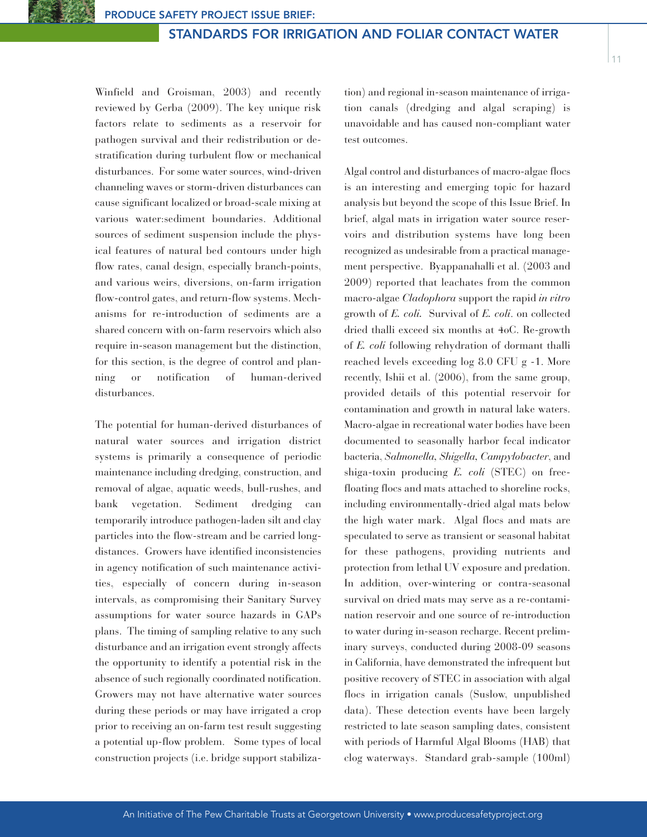Winfield and Groisman, 2003) and recently reviewed by Gerba (2009). The key unique risk factors relate to sediments as a reservoir for pathogen survival and their redistribution or destratification during turbulent flow or mechanical disturbances. For some water sources, wind-driven channeling waves or storm-driven disturbances can cause significant localized or broad-scale mixing at various water:sediment boundaries. Additional sources of sediment suspension include the physical features of natural bed contours under high flow rates, canal design, especially branch-points, and various weirs, diversions, on-farm irrigation flow-control gates, and return-flow systems. Mechanisms for re-introduction of sediments are a shared concern with on-farm reservoirs which also require in-season management but the distinction, for this section, is the degree of control and planning or notification of human-derived disturbances.

The potential for human-derived disturbances of natural water sources and irrigation district systems is primarily a consequence of periodic maintenance including dredging, construction, and removal of algae, aquatic weeds, bull-rushes, and bank vegetation. Sediment dredging can temporarily introduce pathogen-laden silt and clay particles into the flow-stream and be carried longdistances. Growers have identified inconsistencies in agency notification of such maintenance activities, especially of concern during in-season intervals, as compromising their Sanitary Survey assumptions for water source hazards in GAPs plans. The timing of sampling relative to any such disturbance and an irrigation event strongly affects the opportunity to identify a potential risk in the absence of such regionally coordinated notification. Growers may not have alternative water sources during these periods or may have irrigated a crop prior to receiving an on-farm test result suggesting a potential up-flow problem. Some types of local construction projects (i.e. bridge support stabilization) and regional in-season maintenance of irrigation canals (dredging and algal scraping) is unavoidable and has caused non-compliant water test outcomes.

Algal control and disturbances of macro-algae flocs is an interesting and emerging topic for hazard analysis but beyond the scope of this Issue Brief. In brief, algal mats in irrigation water source reservoirs and distribution systems have long been recognized as undesirable from a practical management perspective. Byappanahalli et al. (2003 and 2009) reported that leachates from the common macro-algae *Cladophora* support the rapid *in vitro* growth of *E. coli.* Survival of *E. coli*. on collected dried thalli exceed six months at 4oC. Re-growth of *E. coli* following rehydration of dormant thalli reached levels exceeding log 8.0 CFU g -1. More recently, Ishii et al. (2006), from the same group, provided details of this potential reservoir for contamination and growth in natural lake waters. Macro-algae in recreational water bodies have been documented to seasonally harbor fecal indicator bacteria, *Salmonella, Shigella, Campylobacter*, and shiga-toxin producing *E. coli* (STEC) on freefloating flocs and mats attached to shoreline rocks, including environmentally-dried algal mats below the high water mark. Algal flocs and mats are speculated to serve as transient or seasonal habitat for these pathogens, providing nutrients and protection from lethal UV exposure and predation. In addition, over-wintering or contra-seasonal survival on dried mats may serve as a re-contamination reservoir and one source of re-introduction to water during in-season recharge. Recent preliminary surveys, conducted during 2008-09 seasons in California, have demonstrated the infrequent but positive recovery of STEC in association with algal flocs in irrigation canals (Suslow, unpublished data). These detection events have been largely restricted to late season sampling dates, consistent with periods of Harmful Algal Blooms (HAB) that clog waterways. Standard grab-sample (100ml)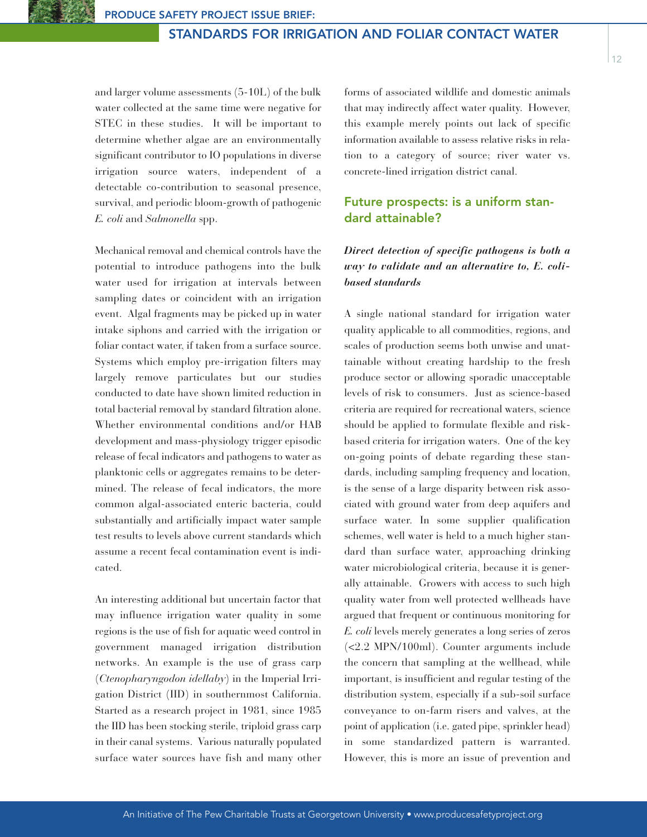$12$ 

and larger volume assessments (5-10L) of the bulk water collected at the same time were negative for STEC in these studies. It will be important to determine whether algae are an environmentally significant contributor to IO populations in diverse irrigation source waters, independent of a detectable co-contribution to seasonal presence, survival, and periodic bloom-growth of pathogenic *E. coli* and *Salmonella* spp.

Mechanical removal and chemical controls have the potential to introduce pathogens into the bulk water used for irrigation at intervals between sampling dates or coincident with an irrigation event. Algal fragments may be picked up in water intake siphons and carried with the irrigation or foliar contact water, if taken from a surface source. Systems which employ pre-irrigation filters may largely remove particulates but our studies conducted to date have shown limited reduction in total bacterial removal by standard filtration alone. Whether environmental conditions and/or HAB development and mass-physiology trigger episodic release of fecal indicators and pathogens to water as planktonic cells or aggregates remains to be determined. The release of fecal indicators, the more common algal-associated enteric bacteria, could substantially and artificially impact water sample test results to levels above current standards which assume a recent fecal contamination event is indicated.

An interesting additional but uncertain factor that may influence irrigation water quality in some regions is the use of fish for aquatic weed control in government managed irrigation distribution networks. An example is the use of grass carp (*Ctenopharyngodon idellaby*) in the Imperial Irrigation District (IID) in southernmost California. Started as a research project in 1981, since 1985 the IID has been stocking sterile, triploid grass carp in their canal systems. Various naturally populated surface water sources have fish and many other

forms of associated wildlife and domestic animals that may indirectly affect water quality. However, this example merely points out lack of specific information available to assess relative risks in relation to a category of source; river water vs. concrete-lined irrigation district canal.

# **Future prospects: is a uniform standard attainable?**

# *Direct detection of specific pathogens is both a way to validate and an alternative to, E. colibased standards*

A single national standard for irrigation water quality applicable to all commodities, regions, and scales of production seems both unwise and unattainable without creating hardship to the fresh produce sector or allowing sporadic unacceptable levels of risk to consumers. Just as science-based criteria are required for recreational waters, science should be applied to formulate flexible and riskbased criteria for irrigation waters. One of the key on-going points of debate regarding these standards, including sampling frequency and location, is the sense of a large disparity between risk associated with ground water from deep aquifers and surface water. In some supplier qualification schemes, well water is held to a much higher standard than surface water, approaching drinking water microbiological criteria, because it is generally attainable. Growers with access to such high quality water from well protected wellheads have argued that frequent or continuous monitoring for *E. coli* levels merely generates a long series of zeros (<2.2 MPN/100ml). Counter arguments include the concern that sampling at the wellhead, while important, is insufficient and regular testing of the distribution system, especially if a sub-soil surface conveyance to on-farm risers and valves, at the point of application (i.e. gated pipe, sprinkler head) in some standardized pattern is warranted. However, this is more an issue of prevention and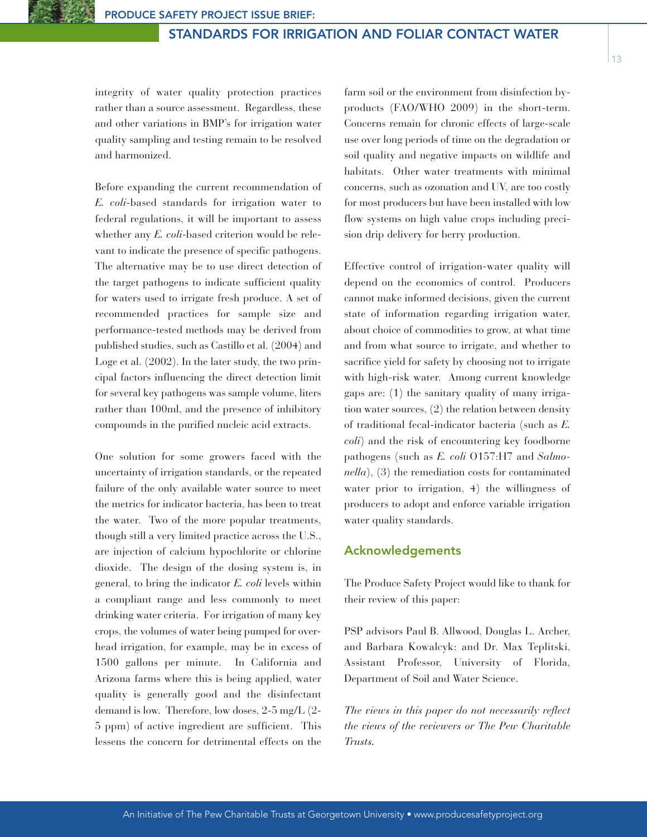integrity of water quality protection practices rather than a source assessment. Regardless, these and other variations in BMP's for irrigation water quality sampling and testing remain to be resolved and harmonized.

Before expanding the current recommendation of *E. coli*-based standards for irrigation water to federal regulations, it will be important to assess whether any *E. coli*-based criterion would be relevant to indicate the presence of specific pathogens. The alternative may be to use direct detection of the target pathogens to indicate sufficient quality for waters used to irrigate fresh produce. A set of recommended practices for sample size and performance-tested methods may be derived from published studies, such as Castillo et al. (2004) and Loge et al. (2002). In the later study, the two principal factors influencing the direct detection limit for several key pathogens was sample volume, liters rather than 100ml, and the presence of inhibitory compounds in the purified nucleic acid extracts.

One solution for some growers faced with the uncertainty of irrigation standards, or the repeated failure of the only available water source to meet the metrics for indicator bacteria, has been to treat the water. Two of the more popular treatments, though still a very limited practice across the U.S., are injection of calcium hypochlorite or chlorine dioxide. The design of the dosing system is, in general, to bring the indicator *E. coli* levels within a compliant range and less commonly to meet drinking water criteria. For irrigation of many key crops, the volumes of water being pumped for overhead irrigation, for example, may be in excess of 1500 gallons per minute. In California and Arizona farms where this is being applied, water quality is generally good and the disinfectant demand is low. Therefore, low doses, 2-5 mg/L (2- 5 ppm) of active ingredient are sufficient. This lessens the concern for detrimental effects on the

farm soil or the environment from disinfection byproducts (FAO/WHO 2009) in the short-term. Concerns remain for chronic effects of large-scale use over long periods of time on the degradation or soil quality and negative impacts on wildlife and habitats. Other water treatments with minimal concerns, such as ozonation and UV, are too costly for most producers but have been installed with low flow systems on high value crops including precision drip delivery for berry production.

Effective control of irrigation-water quality will depend on the economics of control. Producers cannot make informed decisions, given the current state of information regarding irrigation water, about choice of commodities to grow, at what time and from what source to irrigate, and whether to sacrifice yield for safety by choosing not to irrigate with high-risk water. Among current knowledge gaps are: (1) the sanitary quality of many irrigation water sources, (2) the relation between density of traditional fecal-indicator bacteria (such as *E. coli*) and the risk of encountering key foodborne pathogens (such as *E. coli* O157:H7 and *Salmonella*), (3) the remediation costs for contaminated water prior to irrigation, 4) the willingness of producers to adopt and enforce variable irrigation water quality standards.

#### **Acknowledgements**

The Produce Safety Project would like to thank for their review of this paper:

PSP advisors Paul B. Allwood, Douglas L. Archer, and Barbara Kowalcyk; and Dr. Max Teplitski, Assistant Professor, University of Florida, Department of Soil and Water Science.

*The views in this paper do not necessarily reflect the views of the reviewers or The Pew Charitable Trusts.*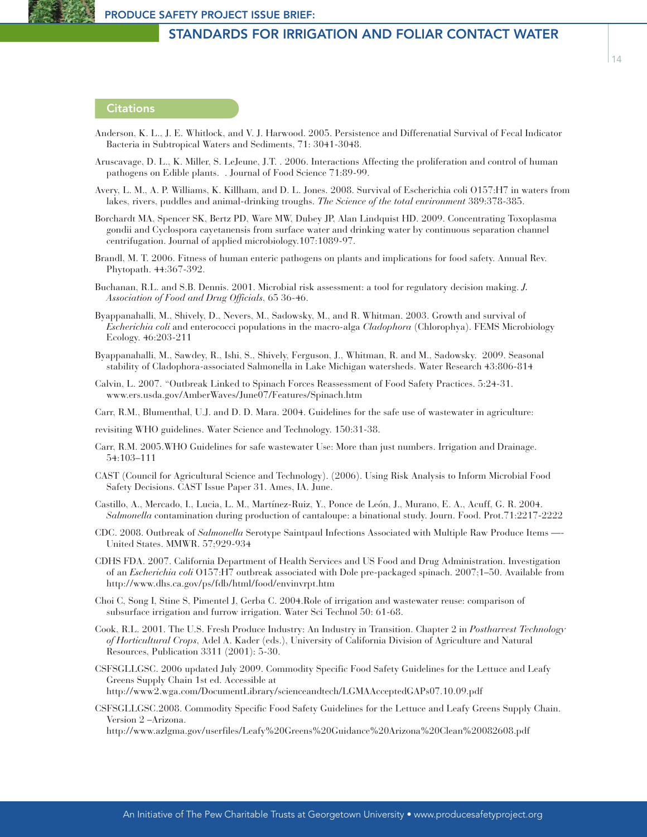### **Citations**

- Anderson, K. L., J. E. Whitlock, and V. J. Harwood. 2005. Persistence and Differenatial Survival of Fecal Indicator Bacteria in Subtropical Waters and Sediments, 71: 3041-3048.
- Aruscavage, D. L., K. Miller, S. LeJeune, J.T. . 2006. Interactions Affecting the proliferation and control of human pathogens on Edible plants. . Journal of Food Science 71:89-99.
- Avery, L. M., A. P. Williams, K. Killham, and D. L. Jones. 2008. Survival of Escherichia coli O157:H7 in waters from lakes, rivers, puddles and animal-drinking troughs. *The Science of the total environment* 389:378-385.
- Borchardt MA, Spencer SK, Bertz PD, Ware MW, Dubey JP, Alan Lindquist HD. 2009. Concentrating Toxoplasma gondii and Cyclospora cayetanensis from surface water and drinking water by continuous separation channel centrifugation. Journal of applied microbiology.107:1089-97.
- Brandl, M. T. 2006. Fitness of human enteric pathogens on plants and implications for food safety. Annual Rev. Phytopath. 44:367-392.
- Buchanan, R.L. and S.B. Dennis. 2001. Microbial risk assessment: a tool for regulatory decision making. *J. Association of Food and Drug Officials*, 65 36-46.
- Byappanahalli, M., Shively, D., Nevers, M., Sadowsky, M., and R. Whitman. 2003. Growth and survival of *Escherichia coli* and enterococci populations in the macro-alga *Cladophora* (Chlorophya). FEMS Microbiology Ecology. 46:203-211
- Byappanahalli, M., Sawdey, R., Ishi, S., Shively, Ferguson, J., Whitman, R. and M., Sadowsky. 2009. Seasonal stability of Cladophora-associated Salmonella in Lake Michigan watersheds. Water Research 43:806-814
- Calvin, L. 2007. "Outbreak Linked to Spinach Forces Reassessment of Food Safety Practices. 5:24-31. www.ers.usda.gov/AmberWaves/June07/Features/Spinach.htm
- Carr, R.M., Blumenthal, U.J. and D. D. Mara. 2004. Guidelines for the safe use of wastewater in agriculture:
- revisiting WHO guidelines. Water Science and Technology. 150:31-38.
- Carr, R.M. 2005.WHO Guidelines for safe wastewater Use: More than just numbers. Irrigation and Drainage. 54:103–111
- CAST (Council for Agricultural Science and Technology). (2006). Using Risk Analysis to Inform Microbial Food Safety Decisions. CAST Issue Paper 31. Ames, IA. June.
- Castillo, A., Mercado, I., Lucia, L. M., Martínez-Ruiz, Y., Ponce de León, J., Murano, E. A., Acuff, G. R. 2004. *Salmonella* contamination during production of cantaloupe: a binational study. Journ. Food. Prot.71:2217-2222
- CDC. 2008. Outbreak of *Salmonella* Serotype Saintpaul Infections Associated with Multiple Raw Produce Items —- United States. MMWR. 57;929-934
- CDHS FDA. 2007. California Department of Health Services and US Food and Drug Administration. Investigation of an *Escherichia coli* O157:H7 outbreak associated with Dole pre-packaged spinach. 2007;1–50. Available from http://www.dhs.ca.gov/ps/fdb/html/food/envinvrpt.htm
- Choi C, Song I, Stine S, Pimentel J, Gerba C. 2004.Role of irrigation and wastewater reuse: comparison of subsurface irrigation and furrow irrigation. Water Sci Technol 50: 61-68.
- Cook, R.L. 2001. The U.S. Fresh Produce Industry: An Industry in Transition. Chapter 2 in *Postharvest Technology of Horticultural Crops*, Adel A. Kader (eds.), University of California Division of Agriculture and Natural Resources, Publication 3311 (2001): 5-30.
- CSFSGLLGSC. 2006 updated July 2009. Commodity Specific Food Safety Guidelines for the Lettuce and Leafy Greens Supply Chain 1st ed. Accessible at http://www2.wga.com/DocumentLibrary/scienceandtech/LGMAAcceptedGAPs07.10.09.pdf
- CSFSGLLGSC.2008. Commodity Specific Food Safety Guidelines for the Lettuce and Leafy Greens Supply Chain. Version 2 –Arizona.

http://www.azlgma.gov/userfiles/Leafy%20Greens%20Guidance%20Arizona%20Clean%20082608.pdf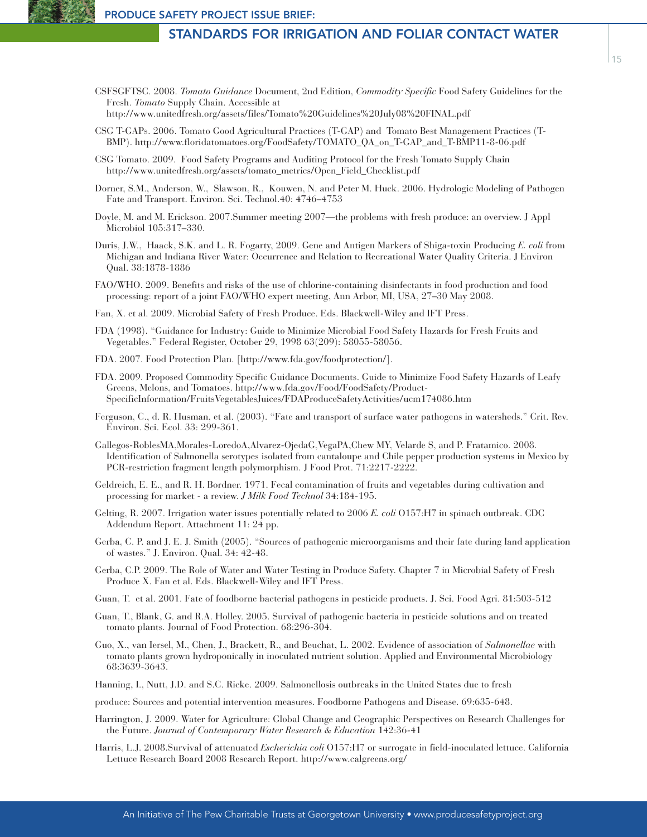- CSFSGFTSC. 2008. *Tomato Guidance* Document, 2nd Edition, *Commodity Specific* Food Safety Guidelines for the Fresh. *Tomato* Supply Chain. Accessible at http://www.unitedfresh.org/assets/files/Tomato%20Guidelines%20July08%20FINAL.pdf
- CSG T-GAPs. 2006. Tomato Good Agricultural Practices (T-GAP) and Tomato Best Management Practices (T-BMP). http://www.floridatomatoes.org/FoodSafety/TOMATO\_QA\_on\_T-GAP\_and\_T-BMP11-8-06.pdf
- CSG Tomato. 2009. Food Safety Programs and Auditing Protocol for the Fresh Tomato Supply Chain http://www.unitedfresh.org/assets/tomato\_metrics/Open\_Field\_Checklist.pdf
- Dorner, S.M., Anderson, W., Slawson, R., Kouwen, N. and Peter M. Huck. 2006. Hydrologic Modeling of Pathogen Fate and Transport. Environ. Sci. Technol.40: 4746–4753
- Doyle, M. and M. Erickson. 2007.Summer meeting 2007—the problems with fresh produce: an overview. J Appl Microbiol 105:317–330.
- Duris, J.W., Haack, S.K. and L. R. Fogarty, 2009. Gene and Antigen Markers of Shiga-toxin Producing *E. coli* from Michigan and Indiana River Water: Occurrence and Relation to Recreational Water Quality Criteria. J Environ Qual. 38:1878-1886
- FAO/WHO. 2009. Benefits and risks of the use of chlorine-containing disinfectants in food production and food processing: report of a joint FAO/WHO expert meeting, Ann Arbor, MI, USA, 27–30 May 2008.
- Fan, X. et al. 2009. Microbial Safety of Fresh Produce. Eds. Blackwell-Wiley and IFT Press.
- FDA (1998). "Guidance for Industry: Guide to Minimize Microbial Food Safety Hazards for Fresh Fruits and Vegetables." Federal Register, October 29, 1998 63(209): 58055-58056.
- FDA. 2007. Food Protection Plan. [http://www.fda.gov/foodprotection/].
- FDA. 2009. Proposed Commodity Specific Guidance Documents. Guide to Minimize Food Safety Hazards of Leafy Greens, Melons, and Tomatoes. http://www.fda.gov/Food/FoodSafety/Product-SpecificInformation/FruitsVegetablesJuices/FDAProduceSafetyActivities/ucm174086.htm
- Ferguson, C., d. R. Husman, et al. (2003). "Fate and transport of surface water pathogens in watersheds." Crit. Rev. Environ. Sci. Ecol. 33: 299-361.
- Gallegos-RoblesMA,Morales-LoredoA,Alvarez-OjedaG,VegaPA,Chew MY, Velarde S, and P. Fratamico. 2008. Identification of Salmonella serotypes isolated from cantaloupe and Chile pepper production systems in Mexico by PCR-restriction fragment length polymorphism. J Food Prot. 71:2217-2222.
- Geldreich, E. E., and R. H. Bordner. 1971. Fecal contamination of fruits and vegetables during cultivation and processing for market - a review. *J Milk Food Technol* 34:184-195.
- Gelting, R. 2007. Irrigation water issues potentially related to 2006 *E. coli* O157:H7 in spinach outbreak. CDC Addendum Report. Attachment 11: 24 pp.
- Gerba, C. P. and J. E. J. Smith (2005). "Sources of pathogenic microorganisms and their fate during land application of wastes." J. Environ. Qual. 34: 42-48.
- Gerba, C.P. 2009. The Role of Water and Water Testing in Produce Safety. Chapter 7 in Microbial Safety of Fresh Produce X. Fan et al. Eds. Blackwell-Wiley and IFT Press.
- Guan, T. et al. 2001. Fate of foodborne bacterial pathogens in pesticide products. J. Sci. Food Agri. 81:503-512
- Guan, T., Blank, G. and R.A. Holley. 2005. Survival of pathogenic bacteria in pesticide solutions and on treated tomato plants. Journal of Food Protection. 68:296-304.
- Guo, X., van Iersel, M., Chen, J., Brackett, R., and Beuchat, L. 2002. Evidence of association of *Salmonellae* with tomato plants grown hydroponically in inoculated nutrient solution. Applied and Environmental Microbiology 68:3639-3643.
- Hanning, I., Nutt, J.D. and S.C. Ricke. 2009. Salmonellosis outbreaks in the United States due to fresh
- produce: Sources and potential intervention measures. Foodborne Pathogens and Disease. 69:635-648.
- Harrington, J. 2009. Water for Agriculture: Global Change and Geographic Perspectives on Research Challenges for the Future. *Journal of Contemporary Water Research & Education* 142:36-41
- Harris, L.J. 2008.Survival of attenuated *Escherichia coli* O157:H7 or surrogate in field-inoculated lettuce. California Lettuce Research Board 2008 Research Report. http://www.calgreens.org/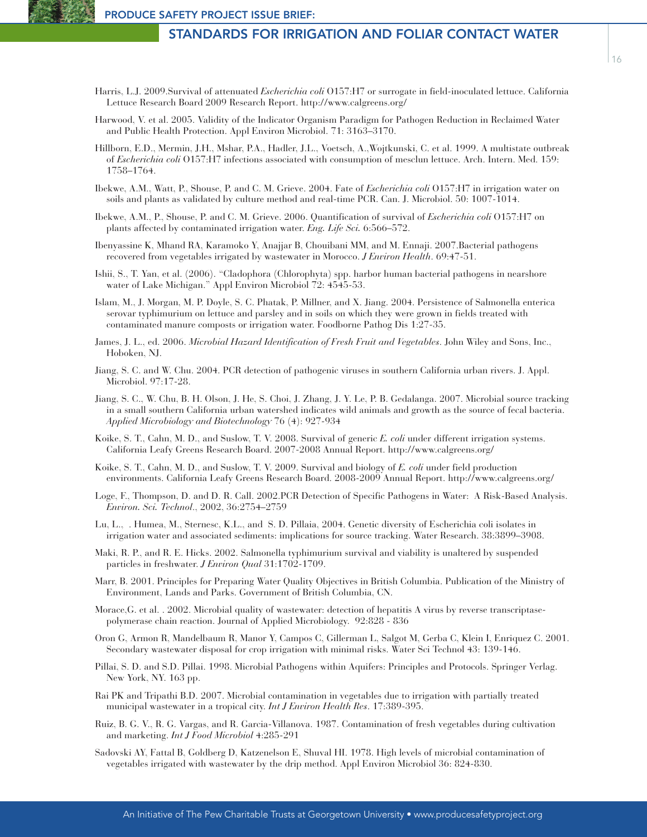- Harwood, V. et al. 2005. Validity of the Indicator Organism Paradigm for Pathogen Reduction in Reclaimed Water and Public Health Protection. Appl Environ Microbiol. 71: 3163–3170.
- Hillborn, E.D., Mermin, J.H., Mshar, P.A., Hadler, J.L., Voetsch, A.,Wojtkunski, C. et al. 1999. A multistate outbreak of *Escherichia coli* O157:H7 infections associated with consumption of mesclun lettuce. Arch. Intern. Med. 159: 1758–1764.
- Ibekwe, A.M., Watt, P., Shouse, P. and C. M. Grieve. 2004. Fate of *Escherichia coli* O157:H7 in irrigation water on soils and plants as validated by culture method and real-time PCR. Can. J. Microbiol. 50: 1007-1014.
- Ibekwe, A.M., P., Shouse, P. and C. M. Grieve. 2006. Quantification of survival of *Escherichia coli* O157:H7 on plants affected by contaminated irrigation water. *Eng. Life Sci.* 6:566–572.
- Ibenyassine K, Mhand RA, Karamoko Y, Anajjar B, Chouibani MM, and M. Ennaji. 2007.Bacterial pathogens recovered from vegetables irrigated by wastewater in Morocco. *J Environ Health*. 69:47-51.
- Ishii, S., T. Yan, et al. (2006). "Cladophora (Chlorophyta) spp. harbor human bacterial pathogens in nearshore water of Lake Michigan." Appl Environ Microbiol 72: 4545-53.
- Islam, M., J. Morgan, M. P. Doyle, S. C. Phatak, P. Millner, and X. Jiang. 2004. Persistence of Salmonella enterica serovar typhimurium on lettuce and parsley and in soils on which they were grown in fields treated with contaminated manure composts or irrigation water. Foodborne Pathog Dis 1:27-35.
- James, J. L., ed. 2006. *Microbial Hazard Identification of Fresh Fruit and Vegetables*. John Wiley and Sons, Inc., Hoboken, NJ.
- Jiang, S. C. and W. Chu. 2004. PCR detection of pathogenic viruses in southern California urban rivers. J. Appl. Microbiol. 97:17-28.
- Jiang, S. C., W. Chu, B. H. Olson, J. He, S. Choi, J. Zhang, J. Y. Le, P. B. Gedalanga. 2007. Microbial source tracking in a small southern California urban watershed indicates wild animals and growth as the source of fecal bacteria. *Applied Microbiology and Biotechnology* 76 (4): 927-934
- Koike, S. T., Cahn, M. D., and Suslow, T. V. 2008. Survival of generic *E. coli* under different irrigation systems. California Leafy Greens Research Board. 2007-2008 Annual Report. http://www.calgreens.org/
- Koike, S. T., Cahn, M. D., and Suslow, T. V. 2009. Survival and biology of *E. coli* under field production environments. California Leafy Greens Research Board. 2008-2009 Annual Report. http://www.calgreens.org/
- Loge, F., Thompson, D. and D. R. Call. 2002.PCR Detection of Specific Pathogens in Water: A Risk-Based Analysis. *Environ. Sci. Technol*., 2002, 36:2754–2759
- Lu, L., . Humea, M., Sternesc, K.L., and S. D. Pillaia, 2004. Genetic diversity of Escherichia coli isolates in irrigation water and associated sediments: implications for source tracking. Water Research. 38:3899–3908.
- Maki, R. P., and R. E. Hicks. 2002. Salmonella typhimurium survival and viability is unaltered by suspended particles in freshwater. *J Environ Qual* 31:1702-1709.
- Marr, B. 2001. Principles for Preparing Water Quality Objectives in British Columbia. Publication of the Ministry of Environment, Lands and Parks. Government of British Columbia, CN.
- Morace,G. et al. . 2002. Microbial quality of wastewater: detection of hepatitis A virus by reverse transcriptasepolymerase chain reaction. Journal of Applied Microbiology. 92:828 - 836
- Oron G, Armon R, Mandelbaum R, Manor Y, Campos C, Gillerman L, Salgot M, Gerba C, Klein I, Enriquez C. 2001. Secondary wastewater disposal for crop irrigation with minimal risks. Water Sci Technol 43: 139-146.
- Pillai, S. D. and S.D. Pillai. 1998. Microbial Pathogens within Aquifers: Principles and Protocols. Springer Verlag. New York, NY. 163 pp.
- Rai PK and Tripathi B.D. 2007. Microbial contamination in vegetables due to irrigation with partially treated municipal wastewater in a tropical city. *Int J Environ Health Res*. 17:389-395.
- Ruiz, B. G. V., R. G. Vargas, and R. Garcia-Villanova. 1987. Contamination of fresh vegetables during cultivation and marketing. *Int J Food Microbiol* 4:285-291
- Sadovski AY, Fattal B, Goldberg D, Katzenelson E, Shuval HI. 1978. High levels of microbial contamination of vegetables irrigated with wastewater by the drip method. Appl Environ Microbiol 36: 824-830.